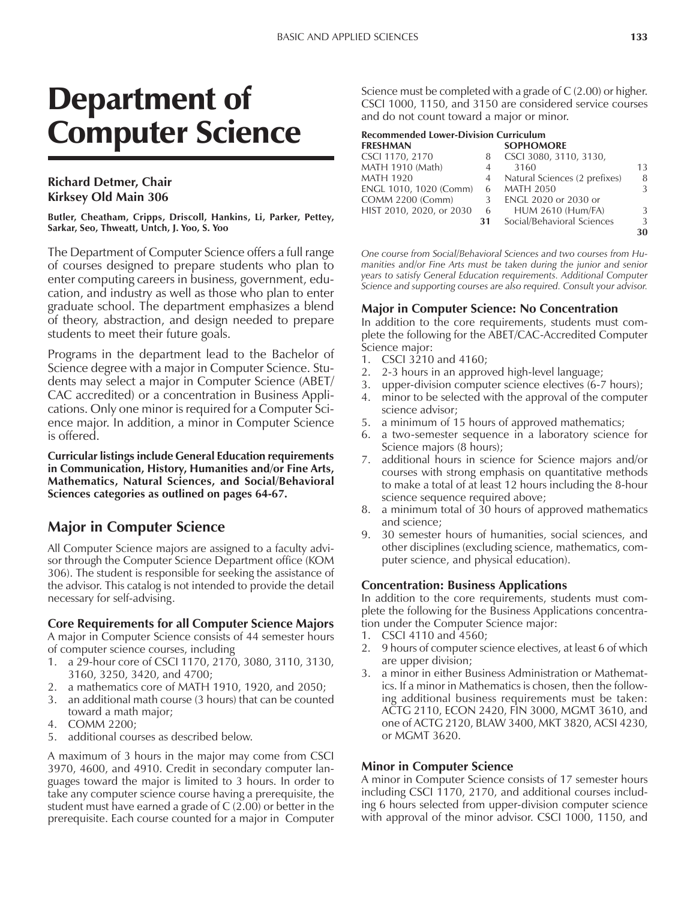# Department of Computer Science

## **Richard Detmer, Chair Kirksey Old Main 306**

**Butler, Cheatham, Cripps, Driscoll, Hankins, Li, Parker, Pettey, Sarkar, Seo, Thweatt, Untch, J. Yoo, S. Yoo**

The Department of Computer Science offers a full range of courses designed to prepare students who plan to enter computing careers in business, government, education, and industry as well as those who plan to enter graduate school. The department emphasizes a blend of theory, abstraction, and design needed to prepare students to meet their future goals.

Programs in the department lead to the Bachelor of Science degree with a major in Computer Science. Students may select a major in Computer Science (ABET/ CAC accredited) or a concentration in Business Applications. Only one minor is required for a Computer Science major. In addition, a minor in Computer Science is offered.

**Curricular listings include General Education requirements in Communication, History, Humanities and/or Fine Arts, Mathematics, Natural Sciences, and Social/Behavioral Sciences categories as outlined on pages 64-67.**

# **Major in Computer Science**

All Computer Science majors are assigned to a faculty advisor through the Computer Science Department office (KOM 306). The student is responsible for seeking the assistance of the advisor. This catalog is not intended to provide the detail necessary for self-advising.

## **Core Requirements for all Computer Science Majors**

A major in Computer Science consists of 44 semester hours of computer science courses, including

- 1. a 29-hour core of CSCI 1170, 2170, 3080, 3110, 3130, 3160, 3250, 3420, and 4700;
- 2. a mathematics core of MATH 1910, 1920, and 2050;
- 3. an additional math course (3 hours) that can be counted toward a math major;
- 4. COMM 2200;
- 5. additional courses as described below.

A maximum of 3 hours in the major may come from CSCI 3970, 4600, and 4910. Credit in secondary computer languages toward the major is limited to 3 hours. In order to take any computer science course having a prerequisite, the student must have earned a grade of C (2.00) or better in the prerequisite. Each course counted for a major in Computer Science must be completed with a grade of C (2.00) or higher. CSCI 1000, 1150, and 3150 are considered service courses and do not count toward a major or minor.

#### **Recommended Lower-Division Curriculum**

| <b>FRESHMAN</b>          |    | <b>SOPHOMORE</b>              |    |
|--------------------------|----|-------------------------------|----|
| CSCI 1170, 2170          | 8  | CSCI 3080, 3110, 3130,        |    |
| MATH 1910 (Math)         | 4  | 3160                          | 13 |
| <b>MATH 1920</b>         | 4  | Natural Sciences (2 prefixes) | 8  |
| ENGL 1010, 1020 (Comm)   | 6  | <b>MATH 2050</b>              | 3  |
| <b>COMM 2200 (Comm)</b>  | 3  | ENGL 2020 or 2030 or          |    |
| HIST 2010, 2020, or 2030 | 6  | <b>HUM 2610 (Hum/FA)</b>      | 3  |
|                          | 31 | Social/Behavioral Sciences    | 3  |
|                          |    |                               | 30 |

*One course from Social/Behavioral Sciences and two courses from Humanities and/or Fine Arts must be taken during the junior and senior years to satisfy General Education requirements. Additional Computer Science and supporting courses are also required. Consult your advisor.*

#### **Major in Computer Science: No Concentration**

In addition to the core requirements, students must complete the following for the ABET/CAC-Accredited Computer Science major:

- 1. CSCI 3210 and 4160;
- 2. 2-3 hours in an approved high-level language;
- 3. upper-division computer science electives (6-7 hours);
- 4. minor to be selected with the approval of the computer science advisor;
- 5. a minimum of 15 hours of approved mathematics;
- 6. a two-semester sequence in a laboratory science for Science majors (8 hours);
- 7. additional hours in science for Science majors and/or courses with strong emphasis on quantitative methods to make a total of at least 12 hours including the 8-hour science sequence required above;
- 8. a minimum total of 30 hours of approved mathematics and science;
- 9. 30 semester hours of humanities, social sciences, and other disciplines (excluding science, mathematics, computer science, and physical education).

## **Concentration: Business Applications**

In addition to the core requirements, students must complete the following for the Business Applications concentration under the Computer Science major:

- 1. CSCI 4110 and 4560;
- 2. 9 hours of computer science electives, at least 6 of which are upper division;
- 3. a minor in either Business Administration or Mathematics. If a minor in Mathematics is chosen, then the following additional business requirements must be taken: ACTG 2110, ECON 2420, FIN 3000, MGMT 3610, and one of ACTG 2120, BLAW 3400, MKT 3820, ACSI 4230, or MGMT 3620.

## **Minor in Computer Science**

A minor in Computer Science consists of 17 semester hours including CSCI 1170, 2170, and additional courses including 6 hours selected from upper-division computer science with approval of the minor advisor. CSCI 1000, 1150, and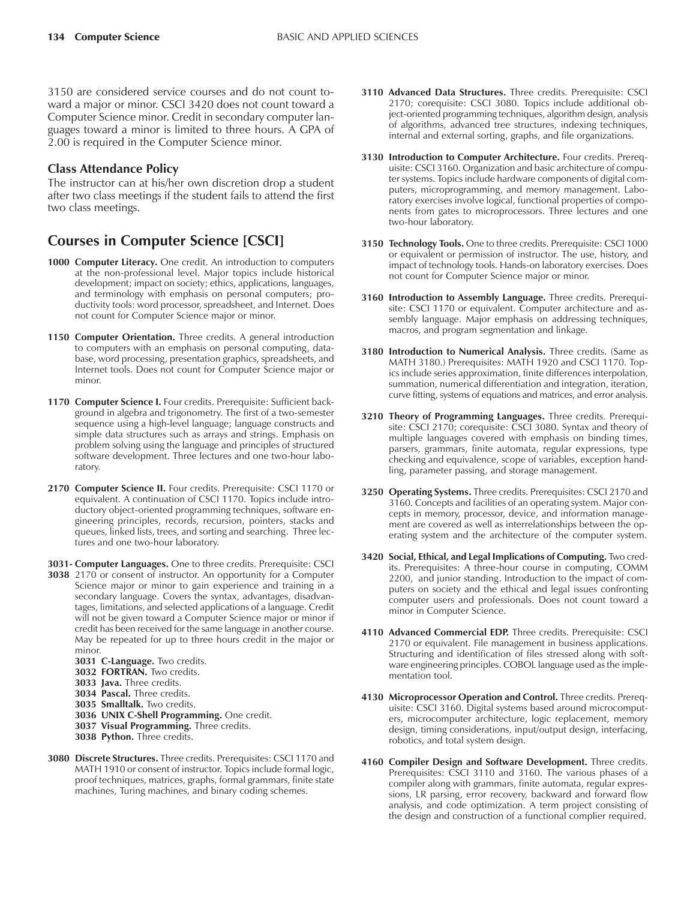3150 are considered service courses and do not count toward a major or minor. CSCI 3420 does not count toward a Computer Science minor. Credit in secondary computer languages toward a minor is limited to three hours. A GPA of 2.00 is required in the Computer Science minor.

#### **Class Attendance Policy**

The instructor can at his/her own discretion drop a student after two class meetings if the student fails to attend the first two class meetings.

## **Courses in Computer Science [CSCI]**

- **1000 Computer Literacy.** One credit. An introduction to computers at the non-professional level. Major topics include historical development; impact on society; ethics, applications, languages, and terminology with emphasis on personal computers; productivity tools: word processor, spreadsheet, and Internet. Does not count for Computer Science major or minor.
- **1150 Computer Orientation.** Three credits. A general introduction to computers with an emphasis on personal computing, database, word processing, presentation graphics, spreadsheets, and Internet tools. Does not count for Computer Science major or minor.
- **1170 Computer Science I.** Four credits. Prerequisite: Sufficient background in algebra and trigonometry. The first of a two-semester sequence using a high-level language; language constructs and simple data structures such as arrays and strings. Emphasis on problem solving using the language and principles of structured software development. Three lectures and one two-hour laboratory.
- **2170 Computer Science II.** Four credits. Prerequisite: CSCI 1170 or equivalent. A continuation of CSCI 1170. Topics include introductory object-oriented programming techniques, software engineering principles, records, recursion, pointers, stacks and queues, linked lists, trees, and sorting and searching. Three lectures and one two-hour laboratory.
- **3031- Computer Languages.** One to three credits. Prerequisite: CSCI
- **3038** 2170 or consent of instructor. An opportunity for a Computer Science major or minor to gain experience and training in a secondary language. Covers the syntax, advantages, disadvantages, limitations, and selected applications of a language. Credit will not be given toward a Computer Science major or minor if credit has been received for the same language in another course. May be repeated for up to three hours credit in the major or minor.
	- **3031 C-Language.** Two credits.
	- **3032 FORTRAN.** Two credits.
	- **3033 Java.** Three credits.
	- **3034 Pascal.** Three credits.
	- **3035 Smalltalk.** Two credits.
	- **3036 UNIX C-Shell Programming.** One credit.
	- **3037 Visual Programming.** Three credits.
	- **3038 Python.** Three credits.
- **3080 Discrete Structures.** Three credits. Prerequisites: CSCI 1170 and MATH 1910 or consent of instructor. Topics include formal logic, proof techniques, matrices, graphs, formal grammars, finite state machines, Turing machines, and binary coding schemes.
- **3110 Advanced Data Structures.** Three credits. Prerequisite: CSCI 2170; corequisite: CSCI 3080. Topics include additional object-oriented programming techniques, algorithm design, analysis of algorithms, advanced tree structures, indexing techniques, internal and external sorting, graphs, and file organizations.
- **3130 Introduction to Computer Architecture.** Four credits. Prerequisite: CSCI 3160. Organization and basic architecture of computer systems. Topics include hardware components of digital computers, microprogramming, and memory management. Laboratory exercises involve logical, functional properties of components from gates to microprocessors. Three lectures and one two-hour laboratory.
- **3150 Technology Tools.** One to three credits. Prerequisite: CSCI 1000 or equivalent or permission of instructor. The use, history, and impact of technology tools. Hands-on laboratory exercises. Does not count for Computer Science major or minor.
- **3160 Introduction to Assembly Language.** Three credits. Prerequisite: CSCI 1170 or equivalent. Computer architecture and assembly language. Major emphasis on addressing techniques, macros, and program segmentation and linkage.
- **3180 Introduction to Numerical Analysis.** Three credits. (Same as MATH 3180.) Prerequisites: MATH 1920 and CSCI 1170. Topics include series approximation, finite differences interpolation, summation, numerical differentiation and integration, iteration, curve fitting, systems of equations and matrices, and error analysis.
- **3210 Theory of Programming Languages.** Three credits. Prerequisite: CSCI 2170; corequisite: CSCI 3080. Syntax and theory of multiple languages covered with emphasis on binding times, parsers, grammars, finite automata, regular expressions, type checking and equivalence, scope of variables, exception handling, parameter passing, and storage management.
- **3250 Operating Systems.** Three credits. Prerequisites: CSCI 2170 and 3160. Concepts and facilities of an operating system. Major concepts in memory, processor, device, and information management are covered as well as interrelationships between the operating system and the architecture of the computer system.
- **3420 Social, Ethical, and Legal Implications of Computing.** Two credits. Prerequisites: A three-hour course in computing, COMM 2200, and junior standing. Introduction to the impact of computers on society and the ethical and legal issues confronting computer users and professionals. Does not count toward a minor in Computer Science.
- **4110 Advanced Commercial EDP.** Three credits. Prerequisite: CSCI 2170 or equivalent. File management in business applications. Structuring and identification of files stressed along with software engineering principles. COBOL language used as the implementation tool.
- **4130 Microprocessor Operation and Control.** Three credits. Prerequisite: CSCI 3160. Digital systems based around microcomputers, microcomputer architecture, logic replacement, memory design, timing considerations, input/output design, interfacing, robotics, and total system design.
- **4160 Compiler Design and Software Development.** Three credits. Prerequisites: CSCI 3110 and 3160. The various phases of a compiler along with grammars, finite automata, regular expressions, LR parsing, error recovery, backward and forward flow analysis, and code optimization. A term project consisting of the design and construction of a functional complier required.